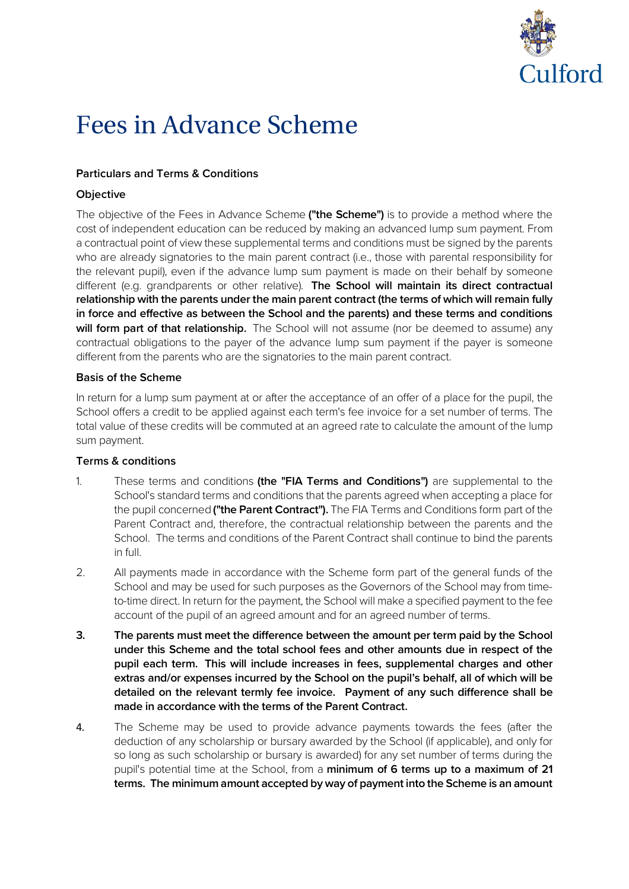

# Fees in Advance Scheme

#### **Particulars and Terms & Conditions**

#### **Objective**

The objective of the Fees in Advance Scheme **("the Scheme")** is to provide a method where the cost of independent education can be reduced by making an advanced lump sum payment. From a contractual point of view these supplemental terms and conditions must be signed by the parents who are already signatories to the main parent contract (i.e., those with parental responsibility for the relevant pupil), even if the advance lump sum payment is made on their behalf by someone different (e.g. grandparents or other relative). **The School will maintain its direct contractual relationship with the parents under the main parent contract (the terms of which will remain fully in force and effective as between the School and the parents) and these terms and conditions**  will form part of that relationship. The School will not assume (nor be deemed to assume) any contractual obligations to the payer of the advance lump sum payment if the payer is someone different from the parents who are the signatories to the main parent contract.

#### **Basis of the Scheme**

In return for a lump sum payment at or after the acceptance of an offer of a place for the pupil, the School offers a credit to be applied against each term's fee invoice for a set number of terms. The total value of these credits will be commuted at an agreed rate to calculate the amount of the lump sum payment.

#### **Terms & conditions**

- 1. These terms and conditions **(the "FIA Terms and Conditions")** are supplemental to the School's standard terms and conditions that the parents agreed when accepting a place for the pupil concerned **("the Parent Contract").** The FIA Terms and Conditions form part of the Parent Contract and, therefore, the contractual relationship between the parents and the School. The terms and conditions of the Parent Contract shall continue to bind the parents in full.
- 2. All payments made in accordance with the Scheme form part of the general funds of the School and may be used for such purposes as the Governors of the School may from timeto-time direct. In return for the payment, the School will make a specified payment to the fee account of the pupil of an agreed amount and for an agreed number of terms.
- **3. The parents must meet the difference between the amount per term paid by the School under this Scheme and the total school fees and other amounts due in respect of the pupil each term. This will include increases in fees, supplemental charges and other extras and/or expenses incurred by the School on the pupil's behalf, all of which will be detailed on the relevant termly fee invoice. Payment of any such difference shall be made in accordance with the terms of the Parent Contract.**
- 4. The Scheme may be used to provide advance payments towards the fees (after the deduction of any scholarship or bursary awarded by the School (if applicable), and only for so long as such scholarship or bursary is awarded) for any set number of terms during the pupil's potential time at the School, from a **minimum of 6 terms up to a maximum of 21 terms. The minimum amount accepted by way of payment into the Scheme is an amount**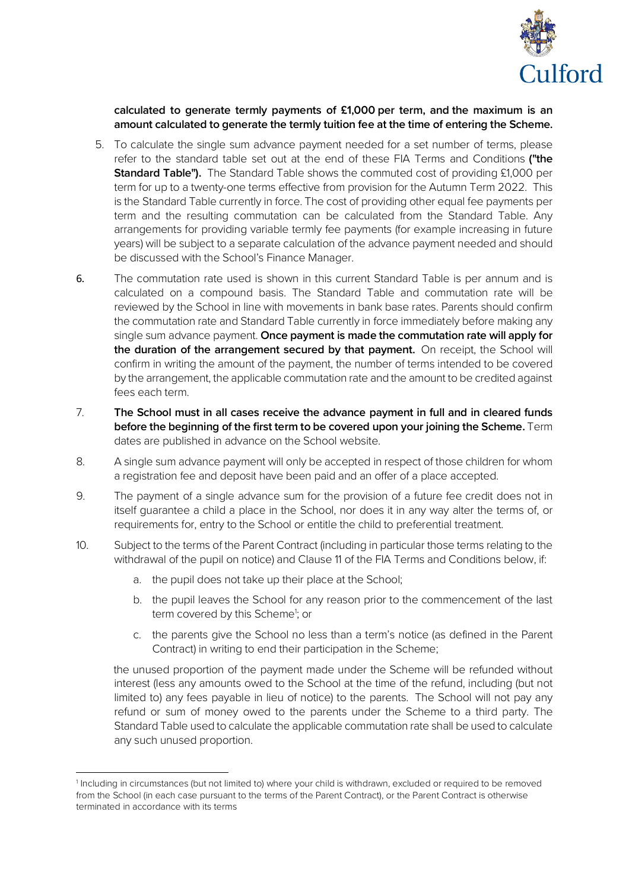

**calculated to generate termly payments of £1,000 per term, and the maximum is an amount calculated to generate the termly tuition fee at the time of entering the Scheme.**

- 5. To calculate the single sum advance payment needed for a set number of terms, please refer to the standard table set out at the end of these FIA Terms and Conditions **("the Standard Table").** The Standard Table shows the commuted cost of providing £1,000 per term for up to a twenty-one terms effective from provision for the Autumn Term 2022. This is the Standard Table currently in force. The cost of providing other equal fee payments per term and the resulting commutation can be calculated from the Standard Table. Any arrangements for providing variable termly fee payments (for example increasing in future years) will be subject to a separate calculation of the advance payment needed and should be discussed with the School's Finance Manager.
- 6. The commutation rate used is shown in this current Standard Table is per annum and is calculated on a compound basis. The Standard Table and commutation rate will be reviewed by the School in line with movements in bank base rates. Parents should confirm the commutation rate and Standard Table currently in force immediately before making any single sum advance payment. **Once payment is made the commutation rate will apply for the duration of the arrangement secured by that payment.** On receipt, the School will confirm in writing the amount of the payment, the number of terms intended to be covered by the arrangement, the applicable commutation rate and the amount to be credited against fees each term.
- 7. **The School must in all cases receive the advance payment in full and in cleared funds before the beginning of the first term to be covered upon your joining the Scheme.** Term dates are published in advance on the School website.
- 8. A single sum advance payment will only be accepted in respect of those children for whom a registration fee and deposit have been paid and an offer of a place accepted.
- 9. The payment of a single advance sum for the provision of a future fee credit does not in itself guarantee a child a place in the School, nor does it in any way alter the terms of, or requirements for, entry to the School or entitle the child to preferential treatment.
- 10. Subject to the terms of the Parent Contract (including in particular those terms relating to the withdrawal of the pupil on notice) and Clause 11 of the FIA Terms and Conditions below, if:
	- a. the pupil does not take up their place at the School;

 $\overline{a}$ 

- b. the pupil leaves the School for any reason prior to the commencement of the last term covered by this Scheme<sup>1</sup>; or
- c. the parents give the School no less than a term's notice (as defined in the Parent Contract) in writing to end their participation in the Scheme;

the unused proportion of the payment made under the Scheme will be refunded without interest (less any amounts owed to the School at the time of the refund, including (but not limited to) any fees payable in lieu of notice) to the parents. The School will not pay any refund or sum of money owed to the parents under the Scheme to a third party. The Standard Table used to calculate the applicable commutation rate shall be used to calculate any such unused proportion.

<sup>1</sup> Including in circumstances (but not limited to) where your child is withdrawn, excluded or required to be removed from the School (in each case pursuant to the terms of the Parent Contract), or the Parent Contract is otherwise terminated in accordance with its terms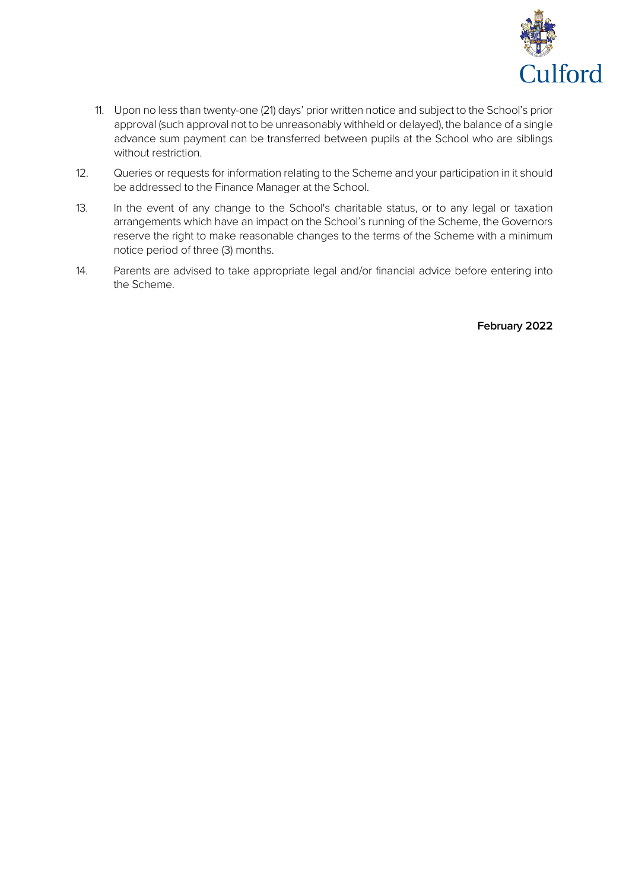

- 11. Upon no less than twenty-one (21) days' prior written notice and subject to the School's prior approval (such approval not to be unreasonably withheld or delayed), the balance of a single advance sum payment can be transferred between pupils at the School who are siblings without restriction.
- 12. Queries or requests for information relating to the Scheme and your participation in it should be addressed to the Finance Manager at the School.
- 13. In the event of any change to the School's charitable status, or to any legal or taxation arrangements which have an impact on the School's running of the Scheme, the Governors reserve the right to make reasonable changes to the terms of the Scheme with a minimum notice period of three (3) months.
- 14. Parents are advised to take appropriate legal and/or financial advice before entering into the Scheme.

**February 2022**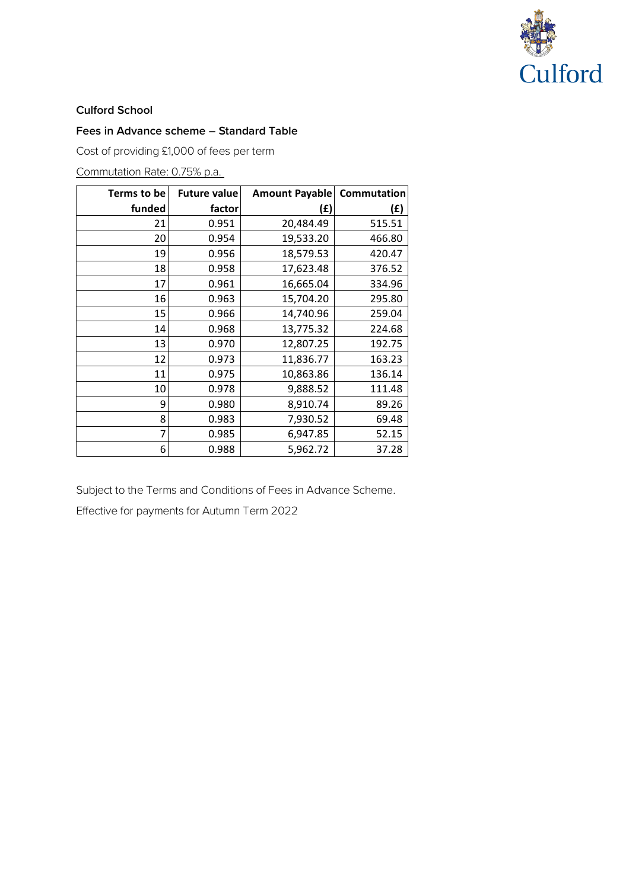

#### **Culford School**

#### **Fees in Advance scheme – Standard Table**

Cost of providing £1,000 of fees per term

### Commutation Rate: 0.75% p.a.

| Terms to be | <b>Future value</b> | <b>Amount Payable</b> | Commutation |
|-------------|---------------------|-----------------------|-------------|
| funded      | factor              | (£)                   | (£)         |
| 21          | 0.951               | 20,484.49             | 515.51      |
| 20          | 0.954               | 19,533.20             | 466.80      |
| 19          | 0.956               | 18,579.53             | 420.47      |
| 18          | 0.958               | 17,623.48             | 376.52      |
| 17          | 0.961               | 16,665.04             | 334.96      |
| 16          | 0.963               | 15,704.20             | 295.80      |
| 15          | 0.966               | 14,740.96             | 259.04      |
| 14          | 0.968               | 13,775.32             | 224.68      |
| 13          | 0.970               | 12,807.25             | 192.75      |
| 12          | 0.973               | 11,836.77             | 163.23      |
| 11          | 0.975               | 10,863.86             | 136.14      |
| 10          | 0.978               | 9,888.52              | 111.48      |
| 9           | 0.980               | 8,910.74              | 89.26       |
| 8           | 0.983               | 7,930.52              | 69.48       |
| 7           | 0.985               | 6,947.85              | 52.15       |
| 6           | 0.988               | 5,962.72              | 37.28       |

Subject to the Terms and Conditions of Fees in Advance Scheme.

Effective for payments for Autumn Term 2022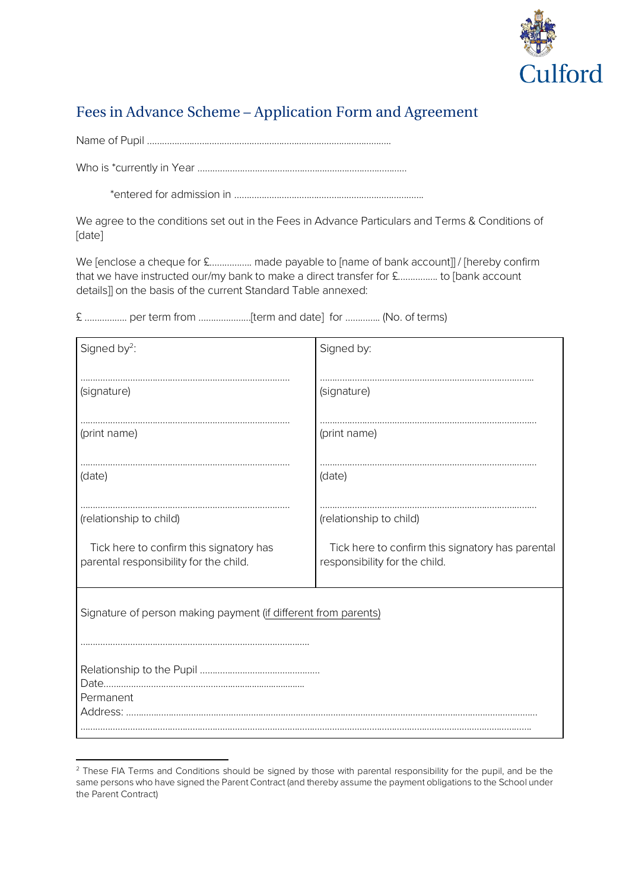

## Fees in Advance Scheme – Application Form and Agreement

Name of Pupil ……………………………………………………………………………………..

Who is \*currently in Year …………………………………………………………………………

\*entered for admission in ………………………………………………………………….

We agree to the conditions set out in the Fees in Advance Particulars and Terms & Conditions of [date]

We [enclose a cheque for £.................. made payable to [name of bank account]] / [hereby confirm that we have instructed our/my bank to make a direct transfer for £……………. to [bank account details]] on the basis of the current Standard Table annexed:

£ …………….. per term from …………………[term and date] for ………….. (No. of terms)

| Signed by <sup>2</sup> :                                                          | Signed by:                                                                        |  |  |
|-----------------------------------------------------------------------------------|-----------------------------------------------------------------------------------|--|--|
| (signature)                                                                       | (signature)                                                                       |  |  |
| (print name)                                                                      | (print name)                                                                      |  |  |
| (date)                                                                            | (date)                                                                            |  |  |
| (relationship to child)                                                           | (relationship to child)                                                           |  |  |
| Tick here to confirm this signatory has<br>parental responsibility for the child. | Tick here to confirm this signatory has parental<br>responsibility for the child. |  |  |
| Signature of person making payment (if different from parents)                    |                                                                                   |  |  |
| Permanent                                                                         |                                                                                   |  |  |
|                                                                                   |                                                                                   |  |  |

 $\overline{a}$ <sup>2</sup> These FIA Terms and Conditions should be signed by those with parental responsibility for the pupil, and be the same persons who have signed the Parent Contract (and thereby assume the payment obligations to the School under the Parent Contract)